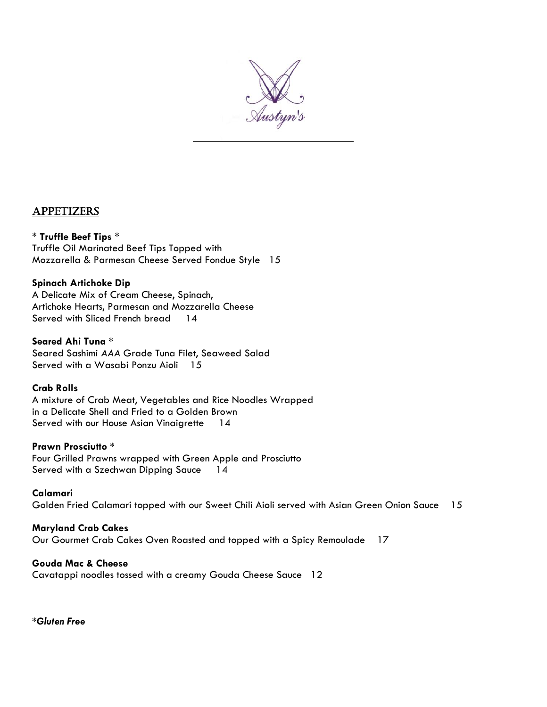

# Appetizers

## \* **Truffle Beef Tips** \*

Truffle Oil Marinated Beef Tips Topped with Mozzarella & Parmesan Cheese Served Fondue Style 15

# **Spinach Artichoke Dip**

A Delicate Mix of Cream Cheese, Spinach, Artichoke Hearts, Parmesan and Mozzarella Cheese Served with Sliced French bread 14

## **Seared Ahi Tuna \***

Seared Sashimi *AAA* Grade Tuna Filet, Seaweed Salad Served with a Wasabi Ponzu Aioli 15

## **Crab Rolls**

A mixture of Crab Meat, Vegetables and Rice Noodles Wrapped in a Delicate Shell and Fried to a Golden Brown Served with our House Asian Vinaigrette 14

# **Prawn Prosciutto \***

Four Grilled Prawns wrapped with Green Apple and Prosciutto Served with a Szechwan Dipping Sauce 14

# **Calamari**

Golden Fried Calamari topped with our Sweet Chili Aioli served with Asian Green Onion Sauce 15

# **Maryland Crab Cakes**

Our Gourmet Crab Cakes Oven Roasted and topped with a Spicy Remoulade 17

#### **Gouda Mac & Cheese**

Cavatappi noodles tossed with a creamy Gouda Cheese Sauce 12

*\*Gluten Free*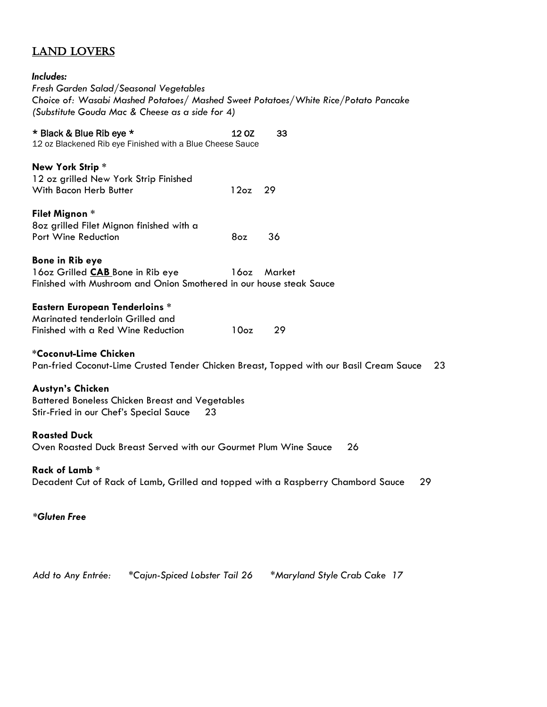# Land Lovers

| Includes:<br>Fresh Garden Salad/Seasonal Vegetables<br>Choice of: Wasabi Mashed Potatoes/ Mashed Sweet Potatoes/White Rice/Potato Pancake<br>(Substitute Gouda Mac & Cheese as a side for 4) |                  |        |
|----------------------------------------------------------------------------------------------------------------------------------------------------------------------------------------------|------------------|--------|
| * Black & Blue Rib eye *<br>12 oz Blackened Rib eye Finished with a Blue Cheese Sauce                                                                                                        | 12 OZ            | 33     |
| New York Strip*<br>12 oz grilled New York Strip Finished<br>With Bacon Herb Butter                                                                                                           | 12oz             | 29     |
| Filet Mignon *<br>8oz grilled Filet Mignon finished with a<br>Port Wine Reduction                                                                                                            | 8oz              | 36     |
| <b>Bone in Rib eye</b><br>160z Grilled CAB Bone in Rib eye<br>Finished with Mushroom and Onion Smothered in our house steak Sauce                                                            | 160z             | Market |
| <b>Eastern European Tenderloins *</b><br>Marinated tenderloin Grilled and<br>Finished with a Red Wine Reduction                                                                              | 10 <sub>oz</sub> | 29     |
| *Coconut-Lime Chicken<br>Pan-fried Coconut-Lime Crusted Tender Chicken Breast, Topped with our Basil Cream Sauce<br>23                                                                       |                  |        |
| <b>Austyn's Chicken</b><br><b>Battered Boneless Chicken Breast and Vegetables</b><br>Stir-Fried in our Chef's Special Sauce<br>23                                                            |                  |        |
| <b>Roasted Duck</b><br>Oven Roasted Duck Breast Served with our Gourmet Plum Wine Sauce<br>26                                                                                                |                  |        |
| Rack of Lamb *<br>Decadent Cut of Rack of Lamb, Grilled and topped with a Raspberry Chambord Sauce<br>29                                                                                     |                  |        |
| *Gluten Free                                                                                                                                                                                 |                  |        |

 *Add to Any Entrée: \*Cajun-Spiced Lobster Tail 26 \*Maryland Style Crab Cake 17*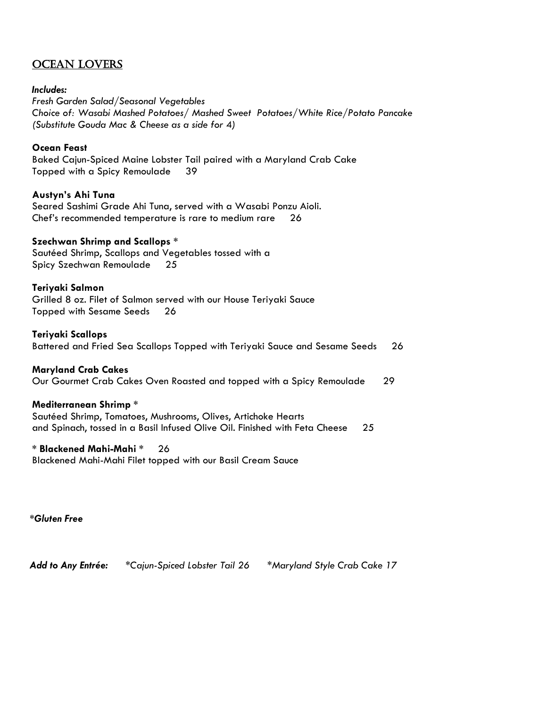# Ocean Lovers

## *Includes:*

*Fresh Garden Salad/Seasonal Vegetables Choice of: Wasabi Mashed Potatoes/ Mashed Sweet Potatoes/White Rice/Potato Pancake (Substitute Gouda Mac & Cheese as a side for* 4*)*

## **Ocean Feast**

Baked Cajun-Spiced Maine Lobster Tail paired with a Maryland Crab Cake Topped with a Spicy Remoulade 39

## **Austyn's Ahi Tuna**

Seared Sashimi Grade Ahi Tuna, served with a Wasabi Ponzu Aioli. Chef's recommended temperature is rare to medium rare 26

## **Szechwan Shrimp and Scallops \***

Sautéed Shrimp, Scallops and Vegetables tossed with a Spicy Szechwan Remoulade 25

## **Teriyaki Salmon**

Grilled 8 oz. Filet of Salmon served with our House Teriyaki Sauce Topped with Sesame Seeds 26

#### **Teriyaki Scallops**

Battered and Fried Sea Scallops Topped with Teriyaki Sauce and Sesame Seeds 26

#### **Maryland Crab Cakes**

Our Gourmet Crab Cakes Oven Roasted and topped with a Spicy Remoulade 29

#### **Mediterranean Shrimp \***

Sautéed Shrimp, Tomatoes, Mushrooms, Olives, Artichoke Hearts and Spinach, tossed in a Basil Infused Olive Oil. Finished with Feta Cheese 25

#### **\* Blackened Mahi-Mahi \*** 26

Blackened Mahi-Mahi Filet topped with our Basil Cream Sauce

 *\*Gluten Free*

 *Add to Any Entrée: \*Cajun-Spiced Lobster Tail 26 \*Maryland Style Crab Cake 17*